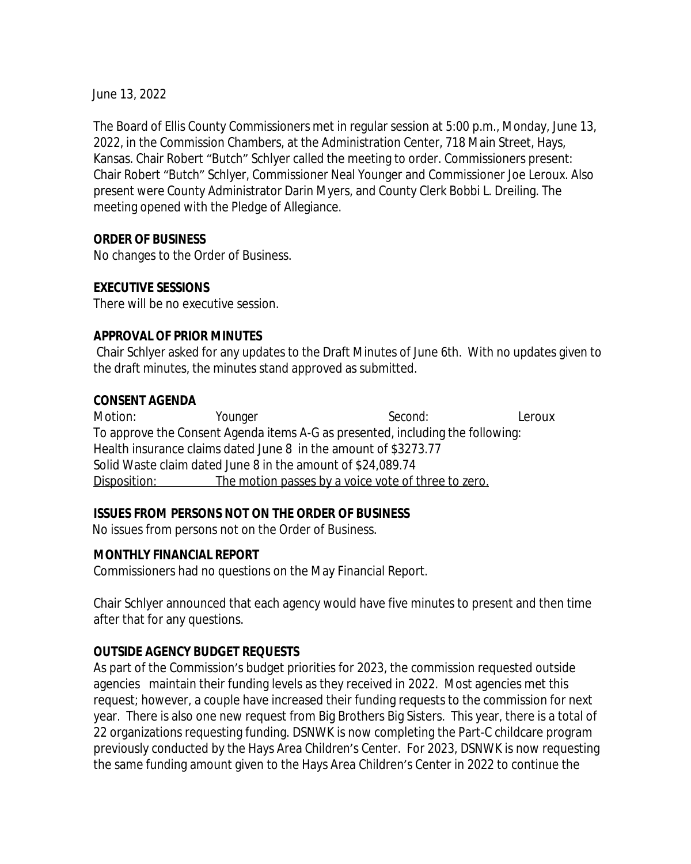June 13, 2022

The Board of Ellis County Commissioners met in regular session at 5:00 p.m., Monday, June 13, 2022, in the Commission Chambers, at the Administration Center, 718 Main Street, Hays, Kansas. Chair Robert "Butch" Schlyer called the meeting to order. Commissioners present: Chair Robert "Butch" Schlyer, Commissioner Neal Younger and Commissioner Joe Leroux. Also present were County Administrator Darin Myers, and County Clerk Bobbi L. Dreiling. The meeting opened with the Pledge of Allegiance.

### **ORDER OF BUSINESS**

No changes to the Order of Business.

## **EXECUTIVE SESSIONS**

There will be no executive session.

### **APPROVAL OF PRIOR MINUTES**

Chair Schlyer asked for any updates to the Draft Minutes of June 6th. With no updates given to the draft minutes, the minutes stand approved as submitted.

#### **CONSENT AGENDA**

Motion: Younger Second: Leroux To approve the Consent Agenda items A-G as presented, including the following: Health insurance claims dated June 8 in the amount of \$3273.77 Solid Waste claim dated June 8 in the amount of \$24,089.74 Disposition: The motion passes by a voice vote of three to zero.

## **ISSUES FROM PERSONS NOT ON THE ORDER OF BUSINESS**

No issues from persons not on the Order of Business.

#### **MONTHLY FINANCIAL REPORT**

Commissioners had no questions on the May Financial Report.

Chair Schlyer announced that each agency would have five minutes to present and then time after that for any questions.

## **OUTSIDE AGENCY BUDGET REQUESTS**

As part of the Commission's budget priorities for 2023, the commission requested outside agencies maintain their funding levels as they received in 2022. Most agencies met this request; however, a couple have increased their funding requests to the commission for next year. There is also one new request from Big Brothers Big Sisters. This year, there is a total of 22 organizations requesting funding. DSNWK is now completing the Part-C childcare program previously conducted by the Hays Area Children's Center. For 2023, DSNWK is now requesting the same funding amount given to the Hays Area Children's Center in 2022 to continue the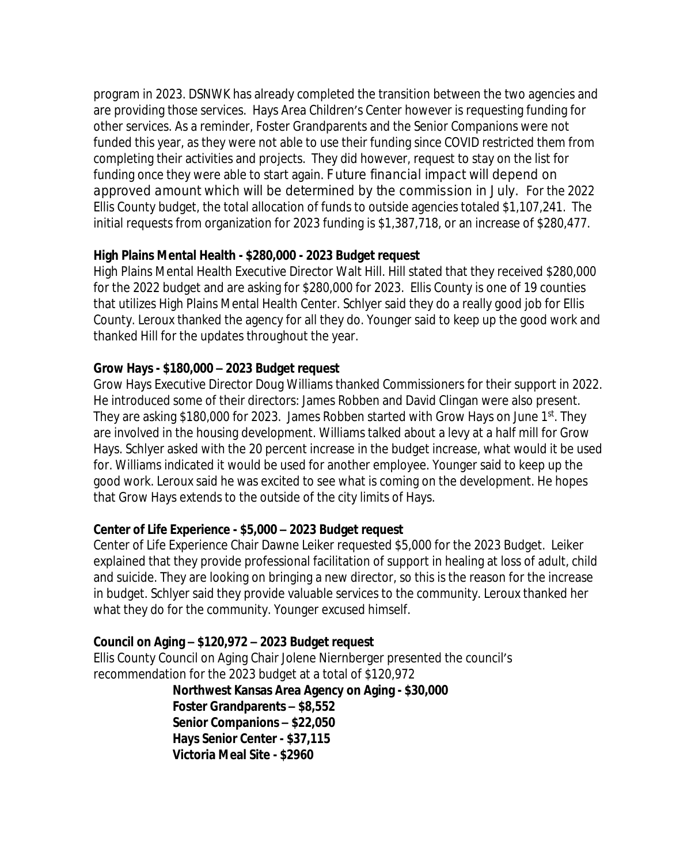program in 2023. DSNWK has already completed the transition between the two agencies and are providing those services. Hays Area Children's Center however is requesting funding for other services. As a reminder, Foster Grandparents and the Senior Companions were not funded this year, as they were not able to use their funding since COVID restricted them from completing their activities and projects. They did however, request to stay on the list for funding once they were able to start again. Future financial impact will depend on approved amount which will be determined by the commission in July. For the 2022 Ellis County budget, the total allocation of funds to outside agencies totaled \$1,107,241. The initial requests from organization for 2023 funding is \$1,387,718, or an increase of \$280,477.

## **High Plains Mental Health - \$280,000 - 2023 Budget request**

High Plains Mental Health Executive Director Walt Hill. Hill stated that they received \$280,000 for the 2022 budget and are asking for \$280,000 for 2023. Ellis County is one of 19 counties that utilizes High Plains Mental Health Center. Schlyer said they do a really good job for Ellis County. Leroux thanked the agency for all they do. Younger said to keep up the good work and thanked Hill for the updates throughout the year.

## **Grow Hays - \$180,000 – 2023 Budget request**

Grow Hays Executive Director Doug Williams thanked Commissioners for their support in 2022. He introduced some of their directors: James Robben and David Clingan were also present. They are asking \$180,000 for 2023. James Robben started with Grow Hays on June 1st. They are involved in the housing development. Williams talked about a levy at a half mill for Grow Hays. Schlyer asked with the 20 percent increase in the budget increase, what would it be used for. Williams indicated it would be used for another employee. Younger said to keep up the good work. Leroux said he was excited to see what is coming on the development. He hopes that Grow Hays extends to the outside of the city limits of Hays.

# **Center of Life Experience - \$5,000 – 2023 Budget request**

Center of Life Experience Chair Dawne Leiker requested \$5,000 for the 2023 Budget. Leiker explained that they provide professional facilitation of support in healing at loss of adult, child and suicide. They are looking on bringing a new director, so this is the reason for the increase in budget. Schlyer said they provide valuable services to the community. Leroux thanked her what they do for the community. Younger excused himself.

# **Council on Aging – \$120,972 – 2023 Budget request**

Ellis County Council on Aging Chair Jolene Niernberger presented the council's recommendation for the 2023 budget at a total of \$120,972

> **Northwest Kansas Area Agency on Aging - \$30,000 Foster Grandparents – \$8,552 Senior Companions – \$22,050 Hays Senior Center - \$37,115 Victoria Meal Site - \$2960**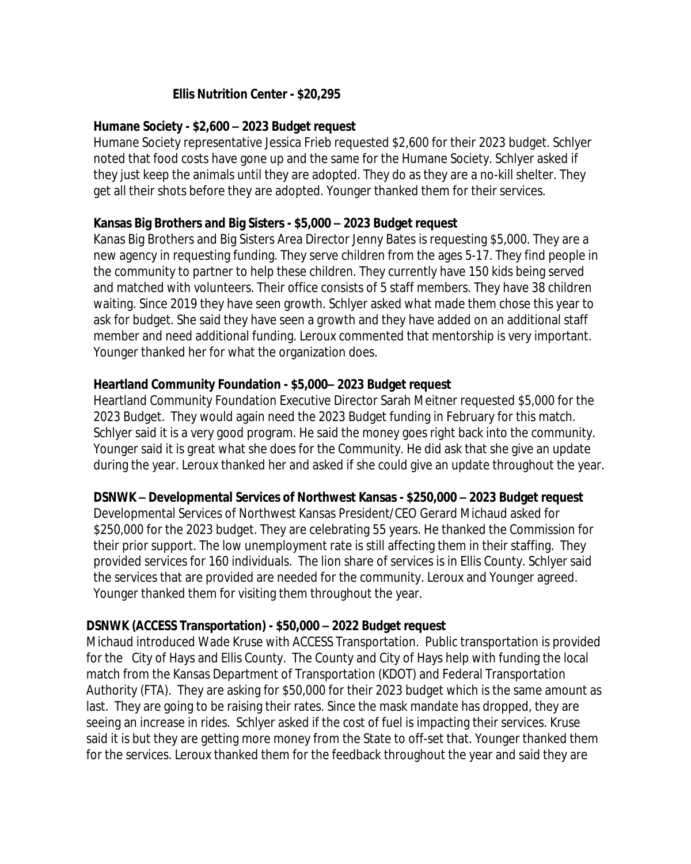### **Ellis Nutrition Center - \$20,295**

#### **Humane Society - \$2,600 – 2023 Budget request**

Humane Society representative Jessica Frieb requested \$2,600 for their 2023 budget. Schlyer noted that food costs have gone up and the same for the Humane Society. Schlyer asked if they just keep the animals until they are adopted. They do as they are a no-kill shelter. They get all their shots before they are adopted. Younger thanked them for their services.

### **Kansas Big Brothers and Big Sisters - \$5,000 – 2023 Budget request**

Kanas Big Brothers and Big Sisters Area Director Jenny Bates is requesting \$5,000. They are a new agency in requesting funding. They serve children from the ages 5-17. They find people in the community to partner to help these children. They currently have 150 kids being served and matched with volunteers. Their office consists of 5 staff members. They have 38 children waiting. Since 2019 they have seen growth. Schlyer asked what made them chose this year to ask for budget. She said they have seen a growth and they have added on an additional staff member and need additional funding. Leroux commented that mentorship is very important. Younger thanked her for what the organization does.

### **Heartland Community Foundation - \$5,000– 2023 Budget request**

Heartland Community Foundation Executive Director Sarah Meitner requested \$5,000 for the 2023 Budget. They would again need the 2023 Budget funding in February for this match. Schlyer said it is a very good program. He said the money goes right back into the community. Younger said it is great what she does for the Community. He did ask that she give an update during the year. Leroux thanked her and asked if she could give an update throughout the year.

#### **DSNWK – Developmental Services of Northwest Kansas - \$250,000 – 2023 Budget request**

Developmental Services of Northwest Kansas President/CEO Gerard Michaud asked for \$250,000 for the 2023 budget. They are celebrating 55 years. He thanked the Commission for their prior support. The low unemployment rate is still affecting them in their staffing. They provided services for 160 individuals. The lion share of services is in Ellis County. Schlyer said the services that are provided are needed for the community. Leroux and Younger agreed. Younger thanked them for visiting them throughout the year.

#### **DSNWK (ACCESS Transportation) - \$50,000 – 2022 Budget request**

Michaud introduced Wade Kruse with ACCESS Transportation. Public transportation is provided for the City of Hays and Ellis County. The County and City of Hays help with funding the local match from the Kansas Department of Transportation (KDOT) and Federal Transportation Authority (FTA). They are asking for \$50,000 for their 2023 budget which is the same amount as last. They are going to be raising their rates. Since the mask mandate has dropped, they are seeing an increase in rides. Schlyer asked if the cost of fuel is impacting their services. Kruse said it is but they are getting more money from the State to off-set that. Younger thanked them for the services. Leroux thanked them for the feedback throughout the year and said they are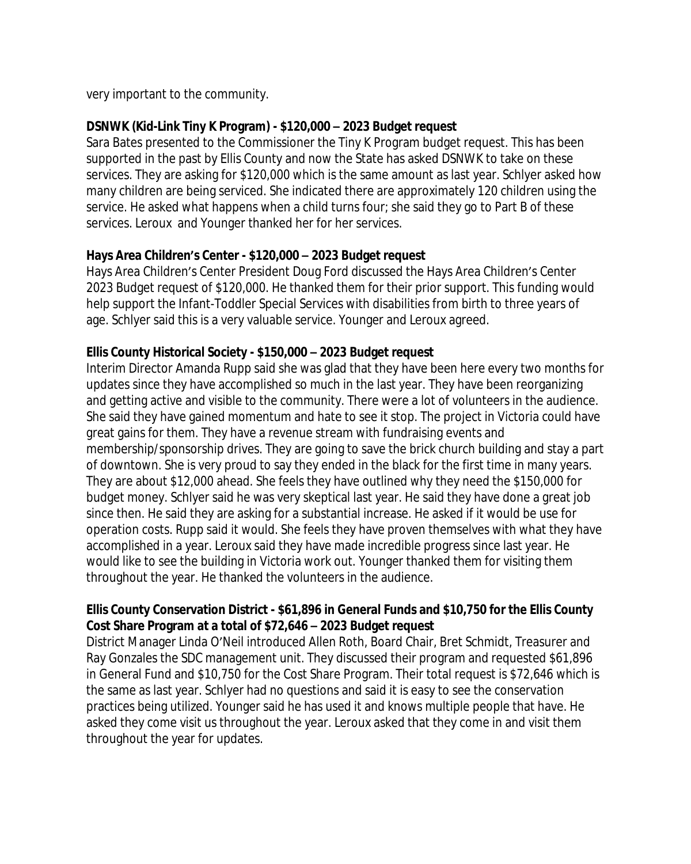very important to the community.

## **DSNWK (Kid-Link Tiny K Program) - \$120,000 – 2023 Budget request**

Sara Bates presented to the Commissioner the Tiny K Program budget request. This has been supported in the past by Ellis County and now the State has asked DSNWK to take on these services. They are asking for \$120,000 which is the same amount as last year. Schlyer asked how many children are being serviced. She indicated there are approximately 120 children using the service. He asked what happens when a child turns four; she said they go to Part B of these services. Leroux and Younger thanked her for her services.

## **Hays Area Children's Center - \$120,000 – 2023 Budget request**

Hays Area Children's Center President Doug Ford discussed the Hays Area Children's Center 2023 Budget request of \$120,000. He thanked them for their prior support. This funding would help support the Infant-Toddler Special Services with disabilities from birth to three years of age. Schlyer said this is a very valuable service. Younger and Leroux agreed.

### **Ellis County Historical Society - \$150,000 – 2023 Budget request**

Interim Director Amanda Rupp said she was glad that they have been here every two months for updates since they have accomplished so much in the last year. They have been reorganizing and getting active and visible to the community. There were a lot of volunteers in the audience. She said they have gained momentum and hate to see it stop. The project in Victoria could have great gains for them. They have a revenue stream with fundraising events and membership/sponsorship drives. They are going to save the brick church building and stay a part of downtown. She is very proud to say they ended in the black for the first time in many years. They are about \$12,000 ahead. She feels they have outlined why they need the \$150,000 for budget money. Schlyer said he was very skeptical last year. He said they have done a great job since then. He said they are asking for a substantial increase. He asked if it would be use for operation costs. Rupp said it would. She feels they have proven themselves with what they have accomplished in a year. Leroux said they have made incredible progress since last year. He would like to see the building in Victoria work out. Younger thanked them for visiting them throughout the year. He thanked the volunteers in the audience.

## **Ellis County Conservation District - \$61,896 in General Funds and \$10,750 for the Ellis County Cost Share Program at a total of \$72,646 – 2023 Budget request**

District Manager Linda O'Neil introduced Allen Roth, Board Chair, Bret Schmidt, Treasurer and Ray Gonzales the SDC management unit. They discussed their program and requested \$61,896 in General Fund and \$10,750 for the Cost Share Program. Their total request is \$72,646 which is the same as last year. Schlyer had no questions and said it is easy to see the conservation practices being utilized. Younger said he has used it and knows multiple people that have. He asked they come visit us throughout the year. Leroux asked that they come in and visit them throughout the year for updates.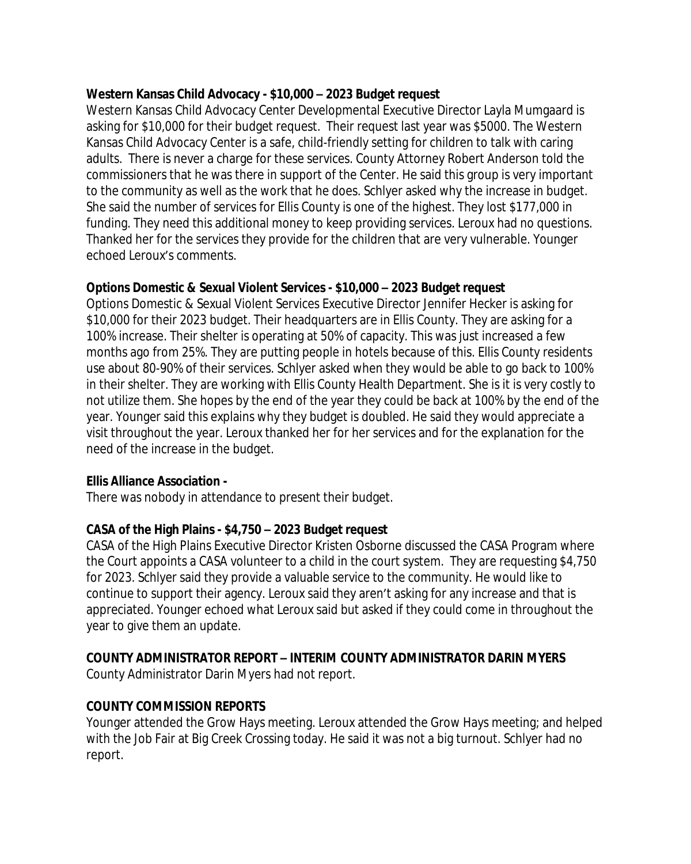### **Western Kansas Child Advocacy - \$10,000 – 2023 Budget request**

Western Kansas Child Advocacy Center Developmental Executive Director Layla Mumgaard is asking for \$10,000 for their budget request. Their request last year was \$5000. The Western Kansas Child Advocacy Center is a safe, child-friendly setting for children to talk with caring adults. There is never a charge for these services. County Attorney Robert Anderson told the commissioners that he was there in support of the Center. He said this group is very important to the community as well as the work that he does. Schlyer asked why the increase in budget. She said the number of services for Ellis County is one of the highest. They lost \$177,000 in funding. They need this additional money to keep providing services. Leroux had no questions. Thanked her for the services they provide for the children that are very vulnerable. Younger echoed Leroux's comments.

### **Options Domestic & Sexual Violent Services - \$10,000 – 2023 Budget request**

Options Domestic & Sexual Violent Services Executive Director Jennifer Hecker is asking for \$10,000 for their 2023 budget. Their headquarters are in Ellis County. They are asking for a 100% increase. Their shelter is operating at 50% of capacity. This was just increased a few months ago from 25%. They are putting people in hotels because of this. Ellis County residents use about 80-90% of their services. Schlyer asked when they would be able to go back to 100% in their shelter. They are working with Ellis County Health Department. She is it is very costly to not utilize them. She hopes by the end of the year they could be back at 100% by the end of the year. Younger said this explains why they budget is doubled. He said they would appreciate a visit throughout the year. Leroux thanked her for her services and for the explanation for the need of the increase in the budget.

## **Ellis Alliance Association -**

There was nobody in attendance to present their budget.

## **CASA of the High Plains - \$4,750 – 2023 Budget request**

CASA of the High Plains Executive Director Kristen Osborne discussed the CASA Program where the Court appoints a CASA volunteer to a child in the court system. They are requesting \$4,750 for 2023. Schlyer said they provide a valuable service to the community. He would like to continue to support their agency. Leroux said they aren't asking for any increase and that is appreciated. Younger echoed what Leroux said but asked if they could come in throughout the year to give them an update.

## **COUNTY ADMINISTRATOR REPORT – INTERIM COUNTY ADMINISTRATOR DARIN MYERS**

County Administrator Darin Myers had not report.

## **COUNTY COMMISSION REPORTS**

Younger attended the Grow Hays meeting. Leroux attended the Grow Hays meeting; and helped with the Job Fair at Big Creek Crossing today. He said it was not a big turnout. Schlyer had no report.